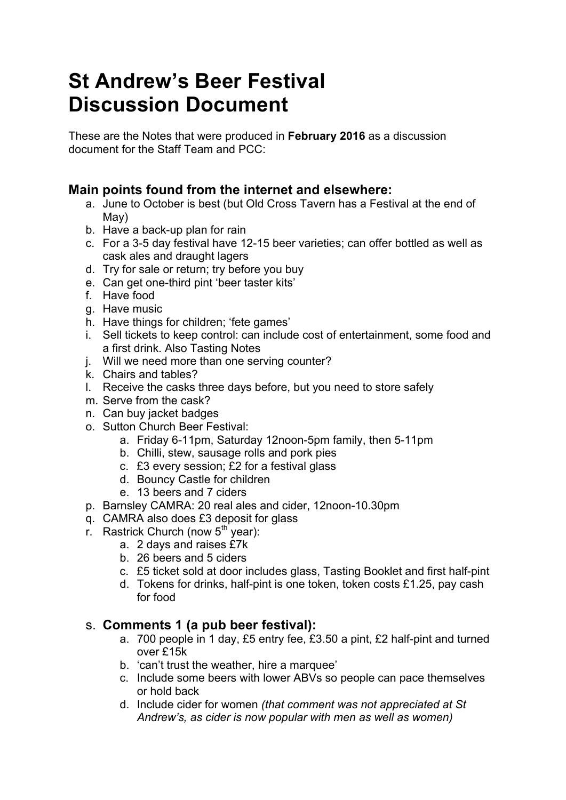# **St Andrew's Beer Festival Discussion Document**

These are the Notes that were produced in **February 2016** as a discussion document for the Staff Team and PCC:

### **Main points found from the internet and elsewhere:**

- a. June to October is best (but Old Cross Tavern has a Festival at the end of May)
- b. Have a back-up plan for rain
- c. For a 3-5 day festival have 12-15 beer varieties; can offer bottled as well as cask ales and draught lagers
- d. Try for sale or return; try before you buy
- e. Can get one-third pint 'beer taster kits'
- f. Have food
- g. Have music
- h. Have things for children; 'fete games'
- i. Sell tickets to keep control: can include cost of entertainment, some food and a first drink. Also Tasting Notes
- j. Will we need more than one serving counter?
- k. Chairs and tables?
- l. Receive the casks three days before, but you need to store safely
- m. Serve from the cask?
- n. Can buy jacket badges
- o. Sutton Church Beer Festival:
	- a. Friday 6-11pm, Saturday 12noon-5pm family, then 5-11pm
	- b. Chilli, stew, sausage rolls and pork pies
	- c. £3 every session; £2 for a festival glass
	- d. Bouncy Castle for children
	- e. 13 beers and 7 ciders
- p. Barnsley CAMRA: 20 real ales and cider, 12noon-10.30pm
- q. CAMRA also does £3 deposit for glass
- r. Rastrick Church (now  $5<sup>th</sup>$  year):
	- a. 2 days and raises £7k
		- b. 26 beers and 5 ciders
		- c. £5 ticket sold at door includes glass, Tasting Booklet and first half-pint
		- d. Tokens for drinks, half-pint is one token, token costs £1.25, pay cash for food

#### s. **Comments 1 (a pub beer festival):**

- a. 700 people in 1 day, £5 entry fee, £3.50 a pint, £2 half-pint and turned over £15k
- b. 'can't trust the weather, hire a marquee'
- c. Include some beers with lower ABVs so people can pace themselves or hold back
- d. Include cider for women *(that comment was not appreciated at St Andrew's, as cider is now popular with men as well as women)*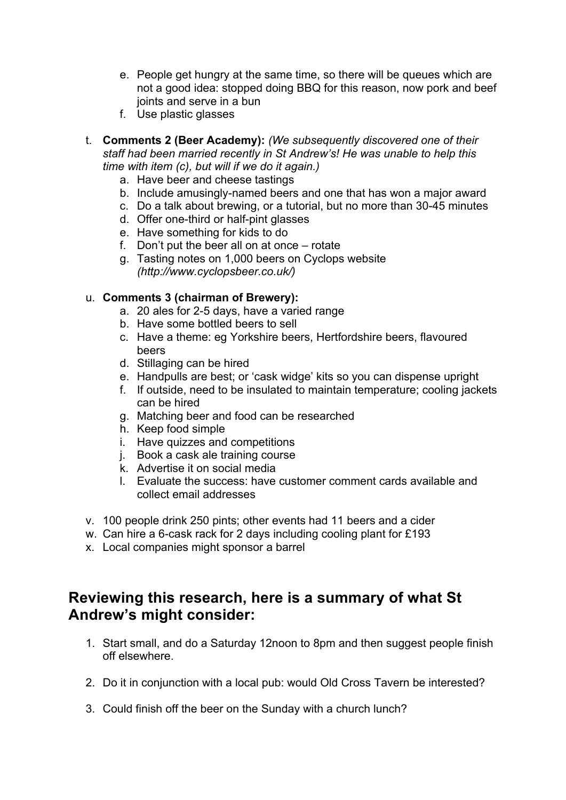- e. People get hungry at the same time, so there will be queues which are not a good idea: stopped doing BBQ for this reason, now pork and beef joints and serve in a bun
- f. Use plastic glasses
- t. **Comments 2 (Beer Academy):** *(We subsequently discovered one of their staff had been married recently in St Andrew's! He was unable to help this time with item (c), but will if we do it again.)*
	- a. Have beer and cheese tastings
	- b. Include amusingly-named beers and one that has won a major award
	- c. Do a talk about brewing, or a tutorial, but no more than 30-45 minutes
	- d. Offer one-third or half-pint glasses
	- e. Have something for kids to do
	- f. Don't put the beer all on at once rotate
	- g. Tasting notes on 1,000 beers on Cyclops website *(http://www.cyclopsbeer.co.uk/)*

#### u. **Comments 3 (chairman of Brewery):**

- a. 20 ales for 2-5 days, have a varied range
- b. Have some bottled beers to sell
- c. Have a theme: eg Yorkshire beers, Hertfordshire beers, flavoured beers
- d. Stillaging can be hired
- e. Handpulls are best; or 'cask widge' kits so you can dispense upright
- f. If outside, need to be insulated to maintain temperature; cooling jackets can be hired
- g. Matching beer and food can be researched
- h. Keep food simple
- i. Have quizzes and competitions
- j. Book a cask ale training course
- k. Advertise it on social media
- l. Evaluate the success: have customer comment cards available and collect email addresses
- v. 100 people drink 250 pints; other events had 11 beers and a cider
- w. Can hire a 6-cask rack for 2 days including cooling plant for £193
- x. Local companies might sponsor a barrel

## **Reviewing this research, here is a summary of what St Andrew's might consider:**

- 1. Start small, and do a Saturday 12noon to 8pm and then suggest people finish off elsewhere.
- 2. Do it in conjunction with a local pub: would Old Cross Tavern be interested?
- 3. Could finish off the beer on the Sunday with a church lunch?